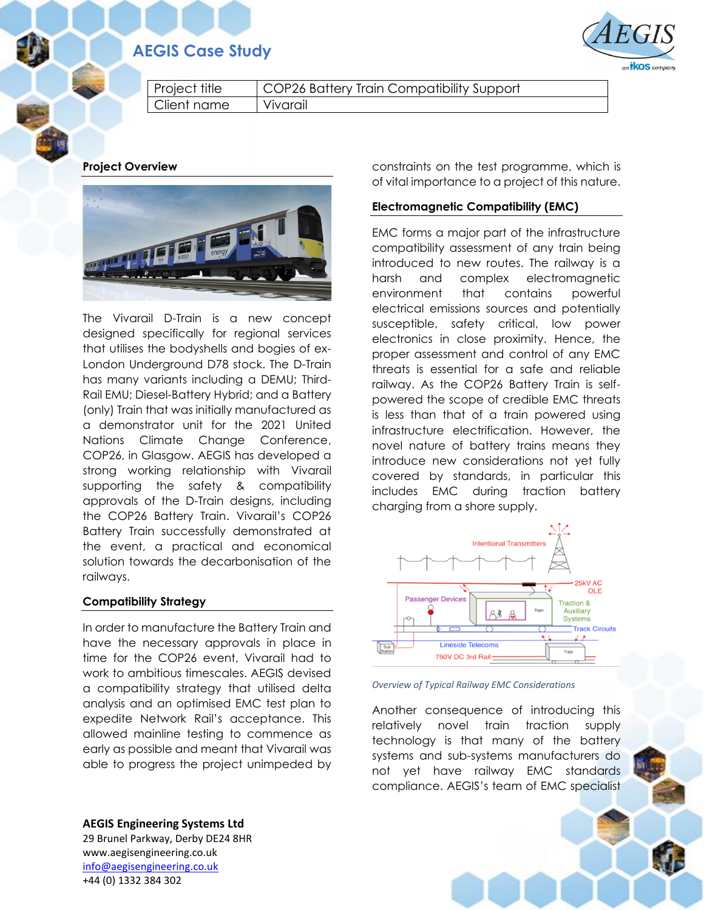# **AEGIS Case Study**



Project title | COP26 Battery Train Compatibility Support Client name Vivarail

**Project Overview**



The Vivarail D-Train is a new concept designed specifically for regional services that utilises the bodyshells and bogies of ex-London Underground D78 stock. The D-Train has many variants including a DEMU; Third-Rail EMU; Diesel-Battery Hybrid; and a Battery (only) Train that was initially manufactured as a demonstrator unit for the 2021 United Nations Climate Change Conference, COP26, in Glasgow. AEGIS has developed a strong working relationship with Vivarail supporting the safety & compatibility approvals of the D-Train designs, including the COP26 Battery Train. Vivarail's COP26 Battery Train successfully demonstrated at the event, a practical and economical solution towards the decarbonisation of the railways.

# **Compatibility Strategy**

In order to manufacture the Battery Train and have the necessary approvals in place in time for the COP26 event, Vivarail had to work to ambitious timescales. AEGIS devised a compatibility strategy that utilised delta analysis and an optimised EMC test plan to expedite Network Rail's acceptance. This allowed mainline testing to commence as early as possible and meant that Vivarail was able to progress the project unimpeded by

**AEGIS Engineering Systems Ltd** 29 Brunel Parkway, Derby DE24 8HR www.aegisengineering.co.uk [info@aegisengineering.co.uk](mailto:info@aegisengineering.co.uk) +44 (0) 1332 384 302

constraints on the test programme, which is of vital importance to a project of this nature.

## **Electromagnetic Compatibility (EMC)**

EMC forms a major part of the infrastructure compatibility assessment of any train being introduced to new routes. The railway is a harsh and complex electromagnetic environment that contains powerful electrical emissions sources and potentially susceptible, safety critical, low power electronics in close proximity. Hence, the proper assessment and control of any EMC threats is essential for a safe and reliable railway. As the COP26 Battery Train is selfpowered the scope of credible EMC threats is less than that of a train powered using infrastructure electrification. However, the novel nature of battery trains means they introduce new considerations not yet fully covered by standards, in particular this includes EMC during traction battery charging from a shore supply.



#### *Overview of Typical Railway EMC Considerations*

Another consequence of introducing this relatively novel train traction supply technology is that many of the battery systems and sub-systems manufacturers do not yet have railway EMC standards compliance. AEGIS's team of EMC specialist